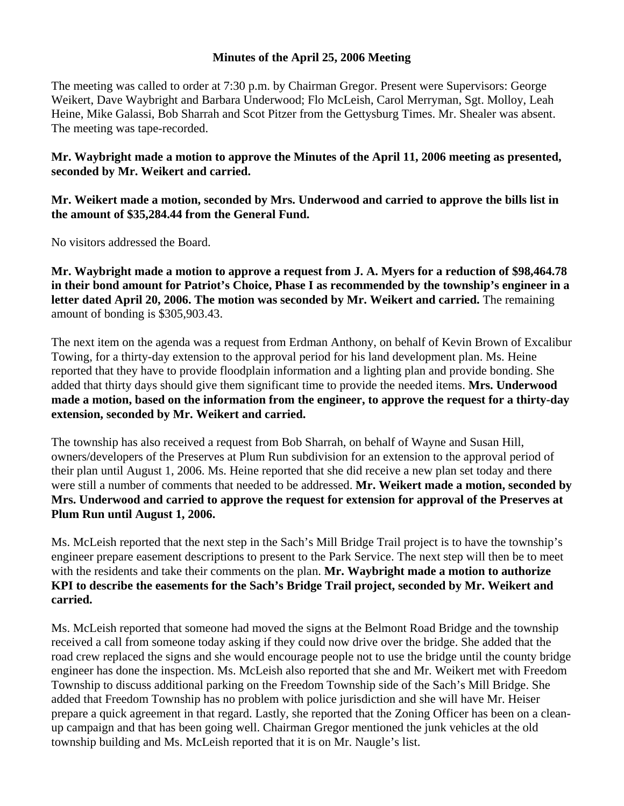## **Minutes of the April 25, 2006 Meeting**

The meeting was called to order at 7:30 p.m. by Chairman Gregor. Present were Supervisors: George Weikert, Dave Waybright and Barbara Underwood; Flo McLeish, Carol Merryman, Sgt. Molloy, Leah Heine, Mike Galassi, Bob Sharrah and Scot Pitzer from the Gettysburg Times. Mr. Shealer was absent. The meeting was tape-recorded.

**Mr. Waybright made a motion to approve the Minutes of the April 11, 2006 meeting as presented, seconded by Mr. Weikert and carried.** 

**Mr. Weikert made a motion, seconded by Mrs. Underwood and carried to approve the bills list in the amount of \$35,284.44 from the General Fund.** 

No visitors addressed the Board.

**Mr. Waybright made a motion to approve a request from J. A. Myers for a reduction of \$98,464.78 in their bond amount for Patriot's Choice, Phase I as recommended by the township's engineer in a letter dated April 20, 2006. The motion was seconded by Mr. Weikert and carried.** The remaining amount of bonding is \$305,903.43.

The next item on the agenda was a request from Erdman Anthony, on behalf of Kevin Brown of Excalibur Towing, for a thirty-day extension to the approval period for his land development plan. Ms. Heine reported that they have to provide floodplain information and a lighting plan and provide bonding. She added that thirty days should give them significant time to provide the needed items. **Mrs. Underwood made a motion, based on the information from the engineer, to approve the request for a thirty-day extension, seconded by Mr. Weikert and carried.** 

The township has also received a request from Bob Sharrah, on behalf of Wayne and Susan Hill, owners/developers of the Preserves at Plum Run subdivision for an extension to the approval period of their plan until August 1, 2006. Ms. Heine reported that she did receive a new plan set today and there were still a number of comments that needed to be addressed. **Mr. Weikert made a motion, seconded by Mrs. Underwood and carried to approve the request for extension for approval of the Preserves at Plum Run until August 1, 2006.** 

Ms. McLeish reported that the next step in the Sach's Mill Bridge Trail project is to have the township's engineer prepare easement descriptions to present to the Park Service. The next step will then be to meet with the residents and take their comments on the plan. **Mr. Waybright made a motion to authorize KPI to describe the easements for the Sach's Bridge Trail project, seconded by Mr. Weikert and carried.** 

Ms. McLeish reported that someone had moved the signs at the Belmont Road Bridge and the township received a call from someone today asking if they could now drive over the bridge. She added that the road crew replaced the signs and she would encourage people not to use the bridge until the county bridge engineer has done the inspection. Ms. McLeish also reported that she and Mr. Weikert met with Freedom Township to discuss additional parking on the Freedom Township side of the Sach's Mill Bridge. She added that Freedom Township has no problem with police jurisdiction and she will have Mr. Heiser prepare a quick agreement in that regard. Lastly, she reported that the Zoning Officer has been on a cleanup campaign and that has been going well. Chairman Gregor mentioned the junk vehicles at the old township building and Ms. McLeish reported that it is on Mr. Naugle's list.